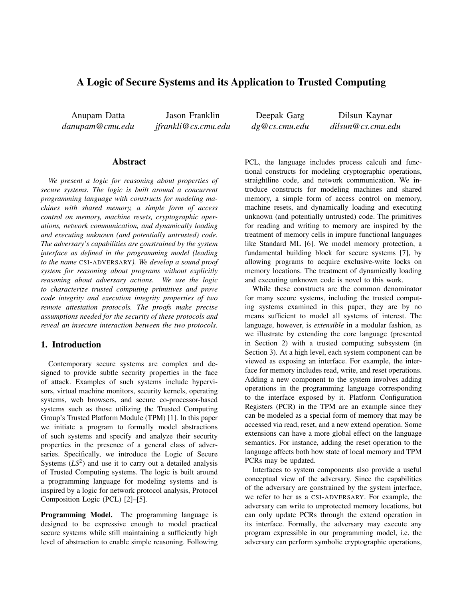# A Logic of Secure Systems and its Application to Trusted Computing

Anupam Datta *danupam@cmu.edu*

Jason Franklin *jfrankli@cs.cmu.edu*

Deepak Garg *dg@cs.cmu.edu*

Dilsun Kaynar *dilsun@cs.cmu.edu*

## Abstract

*We present a logic for reasoning about properties of secure systems. The logic is built around a concurrent programming language with constructs for modeling machines with shared memory, a simple form of access control on memory, machine resets, cryptographic operations, network communication, and dynamically loading and executing unknown (and potentially untrusted) code. The adversary's capabilities are constrained by the system interface as defined in the programming model (leading to the name* CSI-ADVERSARY*). We develop a sound proof system for reasoning about programs without explicitly reasoning about adversary actions. We use the logic to characterize trusted computing primitives and prove code integrity and execution integrity properties of two remote attestation protocols. The proofs make precise assumptions needed for the security of these protocols and reveal an insecure interaction between the two protocols.*

# 1. Introduction

Contemporary secure systems are complex and designed to provide subtle security properties in the face of attack. Examples of such systems include hypervisors, virtual machine monitors, security kernels, operating systems, web browsers, and secure co-processor-based systems such as those utilizing the Trusted Computing Group's Trusted Platform Module (TPM) [1]. In this paper we initiate a program to formally model abstractions of such systems and specify and analyze their security properties in the presence of a general class of adversaries. Specifically, we introduce the Logic of Secure Systems  $(LS<sup>2</sup>)$  and use it to carry out a detailed analysis of Trusted Computing systems. The logic is built around a programming language for modeling systems and is inspired by a logic for network protocol analysis, Protocol Composition Logic (PCL) [2]–[5].

Programming Model. The programming language is designed to be expressive enough to model practical secure systems while still maintaining a sufficiently high level of abstraction to enable simple reasoning. Following PCL, the language includes process calculi and functional constructs for modeling cryptographic operations, straightline code, and network communication. We introduce constructs for modeling machines and shared memory, a simple form of access control on memory, machine resets, and dynamically loading and executing unknown (and potentially untrusted) code. The primitives for reading and writing to memory are inspired by the treatment of memory cells in impure functional languages like Standard ML [6]. We model memory protection, a fundamental building block for secure systems [7], by allowing programs to acquire exclusive-write locks on memory locations. The treatment of dynamically loading and executing unknown code is novel to this work.

While these constructs are the common denominator for many secure systems, including the trusted computing systems examined in this paper, they are by no means sufficient to model all systems of interest. The language, however, is *extensible* in a modular fashion, as we illustrate by extending the core language (presented in Section 2) with a trusted computing subsystem (in Section 3). At a high level, each system component can be viewed as exposing an interface. For example, the interface for memory includes read, write, and reset operations. Adding a new component to the system involves adding operations in the programming language corresponding to the interface exposed by it. Platform Configuration Registers (PCR) in the TPM are an example since they can be modeled as a special form of memory that may be accessed via read, reset, and a new extend operation. Some extensions can have a more global effect on the language semantics. For instance, adding the reset operation to the language affects both how state of local memory and TPM PCRs may be updated.

Interfaces to system components also provide a useful conceptual view of the adversary. Since the capabilities of the adversary are constrained by the system interface, we refer to her as a CSI-ADVERSARY. For example, the adversary can write to unprotected memory locations, but can only update PCRs through the extend operation in its interface. Formally, the adversary may execute any program expressible in our programming model, i.e. the adversary can perform symbolic cryptographic operations,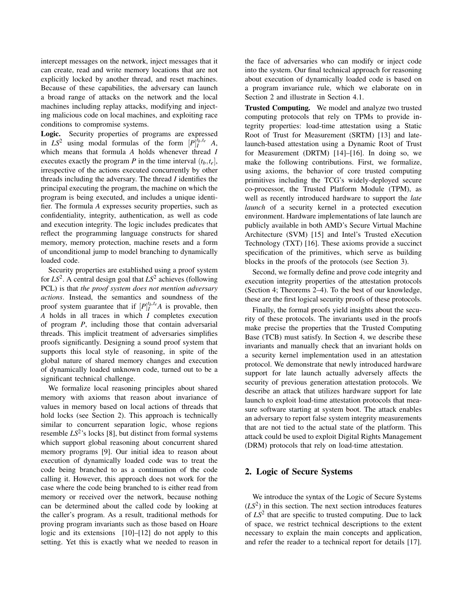intercept messages on the network, inject messages that it can create, read and write memory locations that are not explicitly locked by another thread, and reset machines. Because of these capabilities, the adversary can launch a broad range of attacks on the network and the local machines including replay attacks, modifying and injecting malicious code on local machines, and exploiting race conditions to compromise systems.

Logic. Security properties of programs are expressed in  $LS^2$  using modal formulas of the form  $[P]_I^{i_b, t_e}$  *A*, which means that formula *A* holds whenever thread *I* executes exactly the program *P* in the time interval  $(t_b, t_e)$ , irrespective of the actions executed concurrently by other threads including the adversary. The thread *I* identifies the principal executing the program, the machine on which the program is being executed, and includes a unique identifier. The formula *A* expresses security properties, such as confidentiality, integrity, authentication, as well as code and execution integrity. The logic includes predicates that reflect the programming language constructs for shared memory, memory protection, machine resets and a form of unconditional jump to model branching to dynamically loaded code.

Security properties are established using a proof system for *LS*<sup>2</sup> . A central design goal that *LS*<sup>2</sup> achieves (following PCL) is that *the proof system does not mention adversary actions*. Instead, the semantics and soundness of the proof system guarantee that if  $[P]_I^{t_b, t_e} A$  is provable, then *A* holds in all traces in which *I* completes execution of program *P*, including those that contain adversarial threads. This implicit treatment of adversaries simplifies proofs significantly. Designing a sound proof system that supports this local style of reasoning, in spite of the global nature of shared memory changes and execution of dynamically loaded unknown code, turned out to be a significant technical challenge.

We formalize local reasoning principles about shared memory with axioms that reason about invariance of values in memory based on local actions of threads that hold locks (see Section 2). This approach is technically similar to concurrent separation logic, whose regions resemble  $LS^2$ 's locks [8], but distinct from formal systems which support global reasoning about concurrent shared memory programs [9]. Our initial idea to reason about execution of dynamically loaded code was to treat the code being branched to as a continuation of the code calling it. However, this approach does not work for the case where the code being branched to is either read from memory or received over the network, because nothing can be determined about the called code by looking at the caller's program. As a result, traditional methods for proving program invariants such as those based on Hoare logic and its extensions [10]–[12] do not apply to this setting. Yet this is exactly what we needed to reason in

the face of adversaries who can modify or inject code into the system. Our final technical approach for reasoning about execution of dynamically loaded code is based on a program invariance rule, which we elaborate on in Section 2 and illustrate in Section 4.1.

Trusted Computing. We model and analyze two trusted computing protocols that rely on TPMs to provide integrity properties: load-time attestation using a Static Root of Trust for Measurement (SRTM) [13] and latelaunch-based attestation using a Dynamic Root of Trust for Measurement (DRTM) [14]–[16]. In doing so, we make the following contributions. First, we formalize, using axioms, the behavior of core trusted computing primitives including the TCG's widely-deployed secure co-processor, the Trusted Platform Module (TPM), as well as recently introduced hardware to support the *late launch* of a security kernel in a protected execution environment. Hardware implementations of late launch are publicly available in both AMD's Secure Virtual Machine Architecture (SVM) [15] and Intel's Trusted eXecution Technology (TXT) [16]. These axioms provide a succinct specification of the primitives, which serve as building blocks in the proofs of the protocols (see Section 3).

Second, we formally define and prove code integrity and execution integrity properties of the attestation protocols (Section 4; Theorems 2–4). To the best of our knowledge, these are the first logical security proofs of these protocols.

Finally, the formal proofs yield insights about the security of these protocols. The invariants used in the proofs make precise the properties that the Trusted Computing Base (TCB) must satisfy. In Section 4, we describe these invariants and manually check that an invariant holds on a security kernel implementation used in an attestation protocol. We demonstrate that newly introduced hardware support for late launch actually adversely affects the security of previous generation attestation protocols. We describe an attack that utilizes hardware support for late launch to exploit load-time attestation protocols that measure software starting at system boot. The attack enables an adversary to report false system integrity measurements that are not tied to the actual state of the platform. This attack could be used to exploit Digital Rights Management (DRM) protocols that rely on load-time attestation.

### 2. Logic of Secure Systems

We introduce the syntax of the Logic of Secure Systems  $(LS<sup>2</sup>)$  in this section. The next section introduces features of *LS*<sup>2</sup> that are specific to trusted computing. Due to lack of space, we restrict technical descriptions to the extent necessary to explain the main concepts and application, and refer the reader to a technical report for details [17].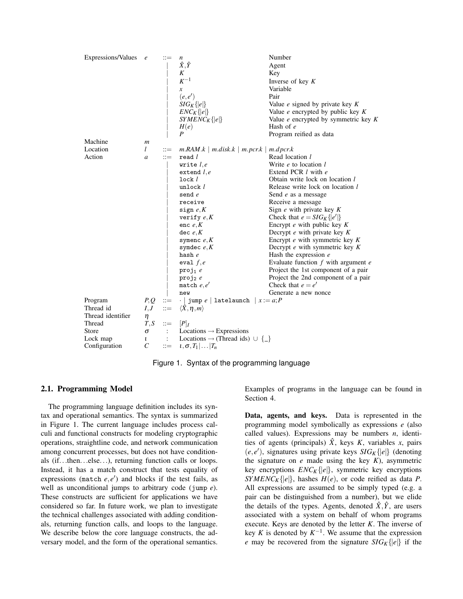| Expressions/Values | e                     | $::=$                | n                                                  | Number                                   |
|--------------------|-----------------------|----------------------|----------------------------------------------------|------------------------------------------|
|                    |                       |                      | $\hat{X}, \hat{Y}$                                 | Agent                                    |
|                    |                       |                      | K                                                  | Key                                      |
|                    |                       |                      | $K^{-1}$                                           | Inverse of key $K$                       |
|                    |                       |                      | $\boldsymbol{x}$                                   | Variable                                 |
|                    |                       |                      | (e,e')                                             | Pair                                     |
|                    |                       |                      | $SIG_K\{e\}$                                       | Value $e$ signed by private key $K$      |
|                    |                       |                      | $ENC_K\{  e  \}$                                   | Value $e$ encrypted by public key $K$    |
|                    |                       |                      | $SYMENC_K\{  e  \}$                                | Value $e$ encrypted by symmetric key $K$ |
|                    |                       |                      | H(e)                                               | Hash of e                                |
|                    |                       |                      | P                                                  | Program reified as data                  |
| Machine            | $\boldsymbol{m}$      |                      |                                                    |                                          |
| Location           | l                     | $::=$                | $m.RAM.k \mid m.disk.k \mid m.pcr.k \mid m.dpcr.k$ |                                          |
| Action             | a                     | $::=$                | real                                               | Read location l                          |
|                    |                       |                      | write $l, e$                                       | Write $e$ to location $l$                |
|                    |                       |                      | extend $l, e$                                      | Extend PCR <i>l</i> with <i>e</i>        |
|                    |                       |                      | $lock$ $l$                                         | Obtain write lock on location l          |
|                    |                       |                      | unlock $l$                                         | Release write lock on location l         |
|                    |                       |                      | send $e$                                           | Send <i>e</i> as a message               |
|                    |                       |                      | receive                                            | Receive a message                        |
|                    |                       |                      | sign $e, K$                                        | Sign $e$ with private key $K$            |
|                    |                       |                      | verify $e, K$                                      | Check that $e = SIG_K\{  e'   \}$        |
|                    |                       |                      | enc $e, K$                                         | Encrypt $e$ with public key $K$          |
|                    |                       |                      | dec e, K                                           | Decrypt $e$ with private key $K$         |
|                    |                       |                      | symenc $e, K$                                      | Encrypt $e$ with symmetric key $K$       |
|                    |                       |                      | symdec $e, K$                                      | Decrypt $e$ with symmetric key $K$       |
|                    |                       |                      | hash $e$                                           | Hash the expression $e$                  |
|                    |                       |                      | eval $f,e$                                         | Evaluate function $f$ with argument $e$  |
|                    |                       |                      | $proj_1 e$                                         | Project the 1st component of a pair      |
|                    |                       |                      | $proj_2 e$                                         | Project the 2nd component of a pair      |
|                    |                       |                      | match $e, e'$                                      | Check that $e = e'$                      |
|                    |                       |                      | new                                                | Generate a new nonce                     |
| Program            | P, Q                  | $::=$                | $\cdot$   jump e   latelaunch   $x := a$ ; P       |                                          |
| Thread id          | I,J                   | $::=$                | $\langle \hat{X}, \eta, m \rangle$                 |                                          |
| Thread identifier  | $\eta$                |                      |                                                    |                                          |
| Thread             | T, S                  | $::=$                | [P]                                                |                                          |
| <b>Store</b>       | $\sigma$              |                      | Locations $\rightarrow$ Expressions                |                                          |
| Lock map           | ı                     | $\ddot{\phantom{a}}$ | Locations $\rightarrow$ (Thread ids) $\cup$ {_}    |                                          |
| Configuration      | $\mathcal{C}_{0}^{0}$ | $::=$                | $i, \sigma, T_1   \dots   T_n$                     |                                          |
|                    |                       |                      |                                                    |                                          |

Figure 1. Syntax of the programming language

#### 2.1. Programming Model

The programming language definition includes its syntax and operational semantics. The syntax is summarized in Figure 1. The current language includes process calculi and functional constructs for modeling cryptographic operations, straightline code, and network communication among concurrent processes, but does not have conditionals (if...then...else...), returning function calls or loops. Instead, it has a match construct that tests equality of expressions (match  $e, e'$ ) and blocks if the test fails, as well as unconditional jumps to arbitrary code (jump *e*). These constructs are sufficient for applications we have considered so far. In future work, we plan to investigate the technical challenges associated with adding conditionals, returning function calls, and loops to the language. We describe below the core language constructs, the adversary model, and the form of the operational semantics. Examples of programs in the language can be found in Section 4.

Data, agents, and keys. Data is represented in the programming model symbolically as expressions *e* (also called values). Expressions may be numbers *n*, identities of agents (principals)  $\hat{X}$ , keys *K*, variables *x*, pairs  $(e, e')$ , signatures using private keys  $SIG_K\{|e|\}$  (denoting the signature on  $e$  made using the key  $K$ ), asymmetric key encryptions  $ENC_K\{|e|\}$ , symmetric key encryptions *SYMENC<sub>K</sub>*{ $|e|$ }, hashes *H*(*e*), or code reified as data *P*. All expressions are assumed to be simply typed (e.g. a pair can be distinguished from a number), but we elide the details of the types. Agents, denoted  $\hat{X}, \hat{Y}$ , are users associated with a system on behalf of whom programs execute. Keys are denoted by the letter *K*. The inverse of key *K* is denoted by  $K^{-1}$ . We assume that the expression *e* may be recovered from the signature  $SIG_K\{ |e| \}$  if the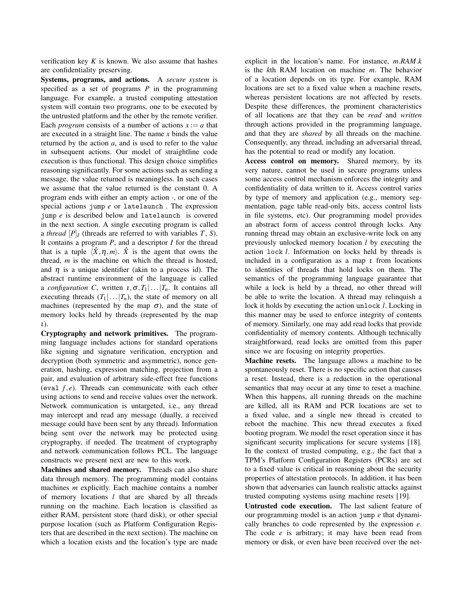verification key  $K$  is known. We also assume that hashes are confidentiality preserving.

Systems, programs, and actions. A *secure system* is specified as a set of programs *P* in the programming language. For example, a trusted computing attestation system will contain two programs, one to be executed by the untrusted platform and the other by the remote verifier. Each *program* consists of a number of actions  $x := a$  that are executed in a straight line. The name *x* binds the value returned by the action *a*, and is used to refer to the value in subsequent actions. Our model of straightline code execution is thus functional. This design choice simplifies reasoning significantly. For some actions such as sending a message, the value returned is meaningless. In such cases we assume that the value returned is the constant 0. A program ends with either an empty action ·, or one of the special actions jump *e* or latelaunch . The expression jump *e* is described below and latelaunch is covered in the next section. A single executing program is called a *thread*  $[P]$ *I* (threads are referred to with variables *T*, *S*). It contains a program *P*, and a descriptor *I* for the thread that is a tuple  $\langle \hat{X}, \eta, m \rangle$ .  $\hat{X}$  is the agent that owns the thread, *m* is the machine on which the thread is hosted, and  $\eta$  is a unique identifier (akin to a process id). The abstract runtime environment of the language is called a *configuration* C, written  $\iota, \sigma, T_1 | \dots | T_n$ . It contains all executing threads  $(T_1|...|T_n)$ , the state of memory on all machines (represented by the map  $\sigma$ ), and the state of memory locks held by threads (represented by the map ι).

Cryptography and network primitives. The programming language includes actions for standard operations like signing and signature verification, encryption and decryption (both symmetric and asymmetric), nonce generation, hashing, expression matching, projection from a pair, and evaluation of arbitrary side-effect free functions (eval *f*, *e*). Threads can communicate with each other using actions to send and receive values over the network. Network communication is untargeted, i.e., any thread may intercept and read any message (dually, a received message could have been sent by any thread). Information being sent over the network may be protected using cryptography, if needed. The treatment of cryptography and network communication follows PCL. The language constructs we present next are new to this work.

Machines and shared memory. Threads can also share data through memory. The programming model contains machines *m* explicitly. Each machine contains a number of memory locations *l* that are shared by all threads running on the machine. Each location is classified as either RAM, persistent store (hard disk), or other special purpose location (such as Platform Configuration Registers that are described in the next section). The machine on which a location exists and the location's type are made

explicit in the location's name. For instance, *m*.*RAM*.*k* is the *k*th RAM location on machine *m*. The behavior of a location depends on its type. For example, RAM locations are set to a fixed value when a machine resets, whereas persistent locations are not affected by resets. Despite these differences, the prominent characteristics of all locations are that they can be *read* and *written* through actions provided in the programming language, and that they are *shared* by all threads on the machine. Consequently, any thread, including an adversarial thread, has the potential to read or modify any location.

Access control on memory. Shared memory, by its very nature, cannot be used in secure programs unless some access control mechanism enforces the integrity and confidentiality of data written to it. Access control varies by type of memory and application (e.g., memory segmentation, page table read-only bits, access control lists in file systems, etc). Our programming model provides an abstract form of access control through locks. Any running thread may obtain an exclusive-write lock on any previously unlocked memory location *l* by executing the action lock *l*. Information on locks held by threads is included in a configuration as a map  $\iota$  from locations to identities of threads that hold locks on them. The semantics of the programming language guarantee that while a lock is held by a thread, no other thread will be able to write the location. A thread may relinquish a lock it holds by executing the action unlock *l*. Locking in this manner may be used to enforce integrity of contents of memory. Similarly, one may add read locks that provide confidentiality of memory contents. Although technically straightforward, read locks are omitted from this paper since we are focusing on integrity properties.

Machine resets. The language allows a machine to be spontaneously reset. There is no specific action that causes a reset. Instead, there is a reduction in the operational semantics that may occur at any time to reset a machine. When this happens, all running threads on the machine are killed, all its RAM and PCR locations are set to a fixed value, and a single new thread is created to reboot the machine. This new thread executes a fixed booting program. We model the reset operation since it has significant security implications for secure systems [18]. In the context of trusted computing, e.g., the fact that a TPM's Platform Configuration Registers (PCRs) are set to a fixed value is critical in reasoning about the security properties of attestation protocols. In addition, it has been shown that adversaries can launch realistic attacks against trusted computing systems using machine resets [19].

Untrusted code execution. The last salient feature of our programming model is an action jump *e* that dynamically branches to code represented by the expression *e*. The code *e* is arbitrary; it may have been read from memory or disk, or even have been received over the net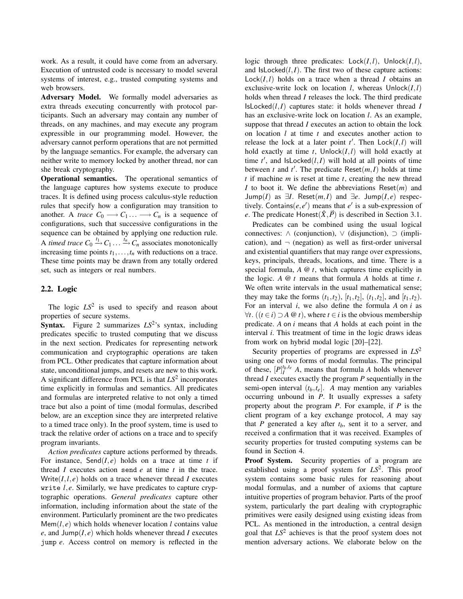work. As a result, it could have come from an adversary. Execution of untrusted code is necessary to model several systems of interest, e.g., trusted computing systems and web browsers.

Adversary Model. We formally model adversaries as extra threads executing concurrently with protocol participants. Such an adversary may contain any number of threads, on any machines, and may execute any program expressible in our programming model. However, the adversary cannot perform operations that are not permitted by the language semantics. For example, the adversary can neither write to memory locked by another thread, nor can she break cryptography.

Operational semantics. The operational semantics of the language captures how systems execute to produce traces. It is defined using process calculus-style reduction rules that specify how a configuration may transition to another. A *trace*  $C_0 \longrightarrow C_1 \dots \longrightarrow C_n$  is a sequence of configurations, such that successive configurations in the sequence can be obtained by applying one reduction rule. A *timed trace*  $C_0 \xrightarrow{t_1} C_1 \ldots \xrightarrow{t_n} C_n$  associates monotonically increasing time points  $t_1, \ldots, t_n$  with reductions on a trace. These time points may be drawn from any totally ordered set, such as integers or real numbers.

#### 2.2. Logic

The logic  $LS^2$  is used to specify and reason about properties of secure systems.

Syntax. Figure 2 summarizes  $LS^2$ 's syntax, including predicates specific to trusted computing that we discuss in the next section. Predicates for representing network communication and cryptographic operations are taken from PCL. Other predicates that capture information about state, unconditional jumps, and resets are new to this work. A significant difference from PCL is that *LS*<sup>2</sup> incorporates time explicitly in formulas and semantics. All predicates and formulas are interpreted relative to not only a timed trace but also a point of time (modal formulas, described below, are an exception since they are interpreted relative to a timed trace only). In the proof system, time is used to track the relative order of actions on a trace and to specify program invariants.

*Action predicates* capture actions performed by threads. For instance,  $Send(I, e)$  holds on a trace at time *t* if thread *I* executes action send *e* at time *t* in the trace. Write $(I, I, e)$  holds on a trace whenever thread *I* executes write *l*, *e*. Similarly, we have predicates to capture cryptographic operations. *General predicates* capture other information, including information about the state of the environment. Particularly prominent are the two predicates  $Mem(l, e)$  which holds whenever location *l* contains value  $e$ , and Jump $(I, e)$  which holds whenever thread *I* executes jump *e*. Access control on memory is reflected in the

logic through three predicates:  $Lock(I, I)$ , Unlock $(I, I)$ , and  $\textsf{lsLocked}(l, I)$ . The first two of these capture actions:  $Lock(I, I)$  holds on a trace when a thread *I* obtains an exclusive-write lock on location *l*, whereas  $Unlock(I, l)$ holds when thread *I* releases the lock. The third predicate IsLocked(*l*,*I*) captures state: it holds whenever thread *I* has an exclusive-write lock on location *l*. As an example, suppose that thread *I* executes an action to obtain the lock on location *l* at time *t* and executes another action to release the lock at a later point  $t'$ . Then  $Lock(I, I)$  will hold exactly at time  $t$ , Unlock $(I, I)$  will hold exactly at time  $t'$ , and  $\textsf{lsLocked}(l, I)$  will hold at all points of time between *t* and  $t'$ . The predicate Reset $(m, I)$  holds at time *t* if machine *m* is reset at time *t*, creating the new thread *I* to boot it. We define the abbreviations Reset(*m*) and Jump(*I*) as ∃*I*. Reset(*m*,*I*) and ∃*e*. Jump(*I*, *e*) respectively. Contains( $e, e'$ ) means that  $e'$  is a sub-expression of *e*. The predicate Honest $(\hat{X}, \vec{P})$  is described in Section 3.1.

Predicates can be combined using the usual logical connectives:  $\wedge$  (conjunction),  $\vee$  (disjunction),  $\supset$  (implication), and  $\neg$  (negation) as well as first-order universal and existential quantifiers that may range over expressions, keys, principals, threads, locations, and time. There is a special formula,  $A \otimes t$ , which captures time explicitly in the logic. *A* @ *t* means that formula *A* holds at time *t*. We often write intervals in the usual mathematical sense; they may take the forms  $(t_1, t_2)$ ,  $[t_1, t_2]$ ,  $(t_1, t_2]$ , and  $[t_1, t_2)$ . For an interval *i*, we also define the formula *A* on *i* as  $\forall t$ . (( $t \in i$ ) ⊃ *A* @ *t*), where  $t \in i$  is the obvious membership predicate. *A* on *i* means that *A* holds at each point in the interval *i*. This treatment of time in the logic draws ideas from work on hybrid modal logic [20]–[22].

Security properties of programs are expressed in *LS*<sup>2</sup> using one of two forms of modal formulas. The principal of these,  $[P]_I^{t_b,t_e}$  *A*, means that formula *A* holds whenever thread *I* executes exactly the program *P* sequentially in the semi-open interval  $(t_b, t_e)$ . *A* may mention any variables occurring unbound in *P*. It usually expresses a safety property about the program *P*. For example, if *P* is the client program of a key exchange protocol, *A* may say that  $P$  generated a key after  $t_b$ , sent it to a server, and received a confirmation that it was received. Examples of security properties for trusted computing systems can be found in Section 4.

Proof System. Security properties of a program are established using a proof system for *LS*<sup>2</sup> . This proof system contains some basic rules for reasoning about modal formulas, and a number of axioms that capture intuitive properties of program behavior. Parts of the proof system, particularly the part dealing with cryptographic primitives were easily designed using existing ideas from PCL. As mentioned in the introduction, a central design goal that *LS*<sup>2</sup> achieves is that the proof system does not mention adversary actions. We elaborate below on the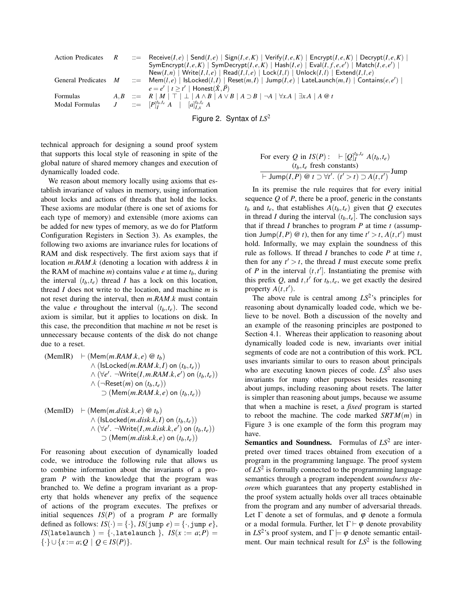| Action Predicates R        |  |  | $\therefore$ Receive $(I,e)$ Send $(I,e)$ Sign $(I,e,K)$ Verify $(I,e,K)$ Encrypt $(I,e,K)$ Decrypt $(I,e,K)$                                                   |  |  |
|----------------------------|--|--|-----------------------------------------------------------------------------------------------------------------------------------------------------------------|--|--|
|                            |  |  | $SymEnergy(I, e, K)$   SymDecrypt $(I, e, K)$   Hash $(I, e)$   Eval $(I, f, e, e')$   Match $(I, e, e')$                                                       |  |  |
|                            |  |  | $\mathsf{New}(I,n) \mid \mathsf{Write}(I,l,e) \mid \mathsf{Read}(I,l,e) \mid \mathsf{Lock}(I,l) \mid \mathsf{Unlock}(I,l) \mid \mathsf{Extend}(I,l,e)$          |  |  |
|                            |  |  | General Predicates $M$ ::= $\text{Mem}(l, e)$   $\text{lslocked}(l, I)$   $\text{Reset}(m, I)$   $\text{Jump}(l, e)$   LateLaunch $(m, I)$   Contains $(e, e')$ |  |  |
|                            |  |  | $e = e' \mid t \geq t' \mid$ Honest $(\hat{X}, \vec{P})$                                                                                                        |  |  |
| Formulas                   |  |  | $A,B$ ::= $R \mid M \mid \top \mid \bot \mid A \wedge B \mid A \vee B \mid A \supset B \mid \neg A \mid \forall x.A \mid \exists x.A \mid A \otimes t$          |  |  |
|                            |  |  | Modal Formulas $J$ ::= $[P]_I^{t_b,t_e} A$   $[a]_{I_x}^{t_b,t_e} A$                                                                                            |  |  |
| Figure 2. Syntax of $LS^2$ |  |  |                                                                                                                                                                 |  |  |

technical approach for designing a sound proof system that supports this local style of reasoning in spite of the global nature of shared memory changes and execution of dynamically loaded code.

We reason about memory locally using axioms that establish invariance of values in memory, using information about locks and actions of threads that hold the locks. These axioms are modular (there is one set of axioms for each type of memory) and extensible (more axioms can be added for new types of memory, as we do for Platform Configuration Registers in Section 3). As examples, the following two axioms are invariance rules for locations of RAM and disk respectively. The first axiom says that if location *m*.*RAM*.*k* (denoting a location with address *k* in the RAM of machine *m*) contains value *e* at time  $t<sub>b</sub>$ , during the interval  $(t_b, t_e)$  thread *I* has a lock on this location, thread *I* does not write to the location, and machine *m* is not reset during the interval, then *m*.*RAM*.*k* must contain the value *e* throughout the interval  $(t_b, t_e)$ . The second axiom is similar, but it applies to locations on disk. In this case, the precondition that machine *m* not be reset is unnecessary because contents of the disk do not change due to a reset.

$$
\begin{array}{ll}\n(\text{MemIR}) & \vdash (\text{Mem}(m.RAM.k, e) \ @\ t_b) \\
& \land (\text{lsLocked}(m.RAM.k, I) \text{ on } (t_b, t_e)) \\
& \land (\forall e'. \neg \text{Write}(I, m.RAM.k, e') \text{ on } (t_b, t_e)) \\
& \land (\neg \text{Reset}(m) \text{ on } (t_b, t_e)) \\
& \supset (\text{Mem}(m.RAM.k, e) \text{ on } (t_b, t_e))\n\end{array}
$$

(MemID) 
$$
\vdash
$$
 (Mem(*m*.disk.k,e) @ t<sub>b</sub>)  
\n $\land$  (IsLocked(*m*.disk.k,I) on (t<sub>b</sub>,t<sub>e</sub>))  
\n $\land$  ( $\forall e'$ .  $\neg Write(I, m.disk.k, e')$  on (t<sub>b</sub>,t<sub>e</sub>))  
\n $\supset$  (Mem(*m*.disk.k, e) on (t<sub>b</sub>,t<sub>e</sub>))

For reasoning about execution of dynamically loaded code, we introduce the following rule that allows us to combine information about the invariants of a program *P* with the knowledge that the program was branched to. We define a program invariant as a property that holds whenever any prefix of the sequence of actions of the program executes. The prefixes or initial sequences  $IS(P)$  of a program *P* are formally defined as follows:  $IS(\cdot) = {\cdot}$ ,  $IS(jump e) = {\cdot}$ ,  $jump e$ ,  $IS(\text{latelaunch } ) = \{ \cdot, \text{latelaunch } \}, \text{ } IS(x := a; P) =$  $\{\cdot\} \cup \{x := a; Q \mid Q \in IS(P)\}.$ 

For every 
$$
Q
$$
 in  $IS(P)$ :  $\vdash [Q]_I^{t_b, t_e} A(t_b, t_e)$   
\n $\xrightarrow[t_b, t_e \text{ fresh constants)} \vdash \text{Jump}(I, P) @ t \supset \forall t'. (t' > t) \supset A(t, t')$ Jump

In its premise the rule requires that for every initial sequence  $Q$  of  $P$ , there be a proof, generic in the constants  $t_b$  and  $t_e$ , that establishes  $A(t_b, t_e)$  given that  $Q$  executes in thread *I* during the interval  $(t_b, t_e]$ . The conclusion says that if thread *I* branches to program  $P$  at time  $t$  (assumption  $\text{Jump}(I, P) \otimes t$ , then for any time  $t' > t$ ,  $A(t, t')$  must hold. Informally, we may explain the soundness of this rule as follows. If thread *I* branches to code *P* at time *t*, then for any  $t' > t$ , the thread *I* must execute some prefix of  $P$  in the interval  $(t, t']$ . Instantiating the premise with this prefix Q, and  $t$ ,  $t'$  for  $t_b$ ,  $t_e$ , we get exactly the desired property  $A(t, t')$ .

The above rule is central among  $LS^2$ 's principles for reasoning about dynamically loaded code, which we believe to be novel. Both a discussion of the novelty and an example of the reasoning principles are postponed to Section 4.1. Whereas their application to reasoning about dynamically loaded code is new, invariants over initial segments of code are not a contribution of this work. PCL uses invariants similar to ours to reason about principals who are executing known pieces of code. *LS*<sup>2</sup> also uses invariants for many other purposes besides reasoning about jumps, including reasoning about resets. The latter is simpler than reasoning about jumps, because we assume that when a machine is reset, a *fixed* program is started to reboot the machine. The code marked *SRTM*(*m*) in Figure 3 is one example of the form this program may have.

**Semantics and Soundness.** Formulas of  $LS^2$  are interpreted over timed traces obtained from execution of a program in the programming language. The proof system of *LS*<sup>2</sup> is formally connected to the programming language semantics through a program independent *soundness theorem* which guarantees that any property established in the proof system actually holds over all traces obtainable from the program and any number of adversarial threads. Let  $\Gamma$  denote a set of formulas, and  $\varphi$  denote a formula or a modal formula. Further, let  $\Gamma \vdash \varphi$  denote provability in  $LS^2$ 's proof system, and  $\Gamma \models \varphi$  denote semantic entailment. Our main technical result for *LS*<sup>2</sup> is the following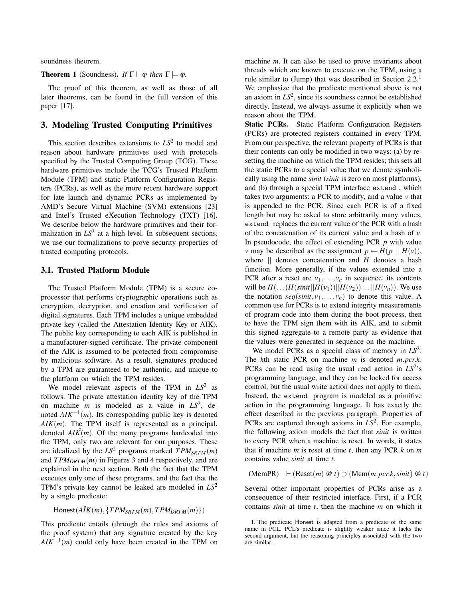soundness theorem.

**Theorem 1** (Soundness). *If*  $\Gamma \vdash \varphi$  *then*  $\Gamma \models \varphi$ .

The proof of this theorem, as well as those of all later theorems, can be found in the full version of this paper [17].

# 3. Modeling Trusted Computing Primitives

This section describes extensions to *LS*<sup>2</sup> to model and reason about hardware primitives used with protocols specified by the Trusted Computing Group (TCG). These hardware primitives include the TCG's Trusted Platform Module (TPM) and static Platform Configuration Registers (PCRs), as well as the more recent hardware support for late launch and dynamic PCRs as implemented by AMD's Secure Virtual Machine (SVM) extensions [23] and Intel's Trusted eXecution Technology (TXT) [16]. We describe below the hardware primitives and their formalization in  $LS^2$  at a high level. In subsequent sections, we use our formalizations to prove security properties of trusted computing protocols.

### 3.1. Trusted Platform Module

The Trusted Platform Module (TPM) is a secure coprocessor that performs cryptographic operations such as encryption, decryption, and creation and verification of digital signatures. Each TPM includes a unique embedded private key (called the Attestation Identity Key or AIK). The public key corresponding to each AIK is published in a manufacturer-signed certificate. The private component of the AIK is assumed to be protected from compromise by malicious software. As a result, signatures produced by a TPM are guaranteed to be authentic, and unique to the platform on which the TPM resides.

We model relevant aspects of the TPM in  $LS^2$  as follows. The private attestation identity key of the TPM on machine  $m$  is modeled as a value in  $LS^2$ , denoted *AIK*−<sup>1</sup> (*m*). Its corresponding public key is denoted *AIK*(*m*). The TPM itself is represented as a principal, denoted  $AI\hat{K}(m)$ . Of the many programs hardcoded into the TPM, only two are relevant for our purposes. These are idealized by the  $LS^2$  programs marked  $TPM_{SRTM}(m)$ and  $TPM_{DRTM}(m)$  in Figures 3 and 4 respectively, and are explained in the next section. Both the fact that the TPM executes only one of these programs, and the fact that the TPM's private key cannot be leaked are modeled in *LS*<sup>2</sup> by a single predicate:

$$
\mathsf{Honest}(A\hat{\mathit{IK}}(m), \{\mathit{TPM}_{SRTM}(m), \mathit{TPM}_{DRTM}(m)\})
$$

This predicate entails (through the rules and axioms of the proof system) that any signature created by the key  $AIK^{-1}(m)$  could only have been created in the TPM on

machine *m*. It can also be used to prove invariants about threads which are known to execute on the TPM, using a rule similar to (Jump) that was described in Section  $2.2<sup>1</sup>$ We emphasize that the predicate mentioned above is not an axiom in  $LS^2$ , since its soundness cannot be established directly. Instead, we always assume it explicitly when we reason about the TPM.

Static PCRs. Static Platform Configuration Registers (PCRs) are protected registers contained in every TPM. From our perspective, the relevant property of PCRs is that their contents can only be modified in two ways: (a) by resetting the machine on which the TPM resides; this sets all the static PCRs to a special value that we denote symbolically using the name *sinit* (*sinit* is zero on most platforms), and (b) through a special TPM interface extend , which takes two arguments: a PCR to modify, and a value *v* that is appended to the PCR. Since each PCR is of a fixed length but may be asked to store arbitrarily many values, extend replaces the current value of the PCR with a hash of the concatenation of its current value and a hash of *v*. In pseudocode, the effect of extending PCR *p* with value *v* may be described as the assignment  $p \leftarrow H(p \mid H(v))$ , where || denotes concatenation and *H* denotes a hash function. More generally, if the values extended into a PCR after a reset are  $v_1, \ldots, v_n$  in sequence, its contents will be  $H(\ldots(H(sinit||H(v_1))||H(v_2))\ldots||H(v_n))$ . We use the notation  $seq(sinit, v_1, \ldots, v_n)$  to denote this value. A common use for PCRs is to extend integrity measurements of program code into them during the boot process, then to have the TPM sign them with its AIK, and to submit this signed aggregate to a remote party as evidence that the values were generated in sequence on the machine.

We model PCRs as a special class of memory in  $LS^2$ . The *k*th static PCR on machine *m* is denoted *m*.*pcr*.*k*. PCRs can be read using the usual read action in  $LS^2$ 's programming language, and they can be locked for access control, but the usual write action does not apply to them. Instead, the extend program is modeled as a primitive action in the programming language. It has exactly the effect described in the previous paragraph. Properties of PCRs are captured through axioms in *LS*<sup>2</sup> . For example, the following axiom models the fact that *sinit* is written to every PCR when a machine is reset. In words, it states that if machine *m* is reset at time *t*, then any PCR *k* on *m* contains value *sinit* at time *t*.

 $(MemPR)$   $\vdash$  (Reset $(m) \t@ t) \supset (Mem(m.pcr,k,sinit) \t@ t)$ 

Several other important properties of PCRs arise as a consequence of their restricted interface. First, if a PCR contains *sinit* at time *t*, then the machine *m* on which it

<sup>1.</sup> The predicate Honest is adapted from a predicate of the same name in PCL. PCL's predicate is slightly weaker since it lacks the second argument, but the reasoning principles associated with the two are similar.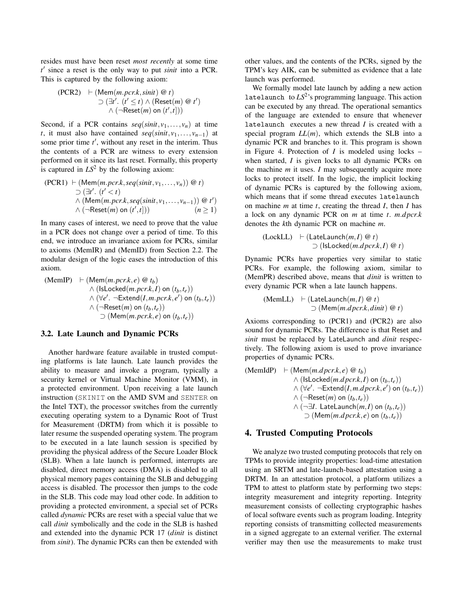resides must have been reset *most recently* at some time  $t'$  since a reset is the only way to put *sinit* into a PCR. This is captured by the following axiom:

$$
\begin{array}{ll}\n(\text{PCR2}) & \vdash (\text{Mem}(m.pcr,k,sinit) \ @\ t) \\
& \supset (\exists t'. \ (t' \le t) \land (\text{Reset}(m) \ @\ t') \\
& \land (\neg \text{Reset}(m) \text{ on } (t',t]))\n\end{array}
$$

Second, if a PCR contains  $seq(sinit, v_1, \ldots, v_n)$  at time *t*, it must also have contained *seq*(*sinit*,  $v_1, \ldots, v_{n-1}$ ) at some prior time  $t'$ , without any reset in the interim. Thus the contents of a PCR are witness to every extension performed on it since its last reset. Formally, this property is captured in  $LS^2$  by the following axiom:

$$
\begin{array}{ll}\n(\text{PCR1}) & \vdash (\text{Mem}(m.\text{pcr}.\text{k}, \text{seq}(\text{sinit}, \text{v}_1, \dots, \text{v}_n)) \ @\ t) \\
& \supset (\exists t'. \ (t' < t) \\
& \wedge (\text{Mem}(m.\text{pcr}.\text{k}, \text{seq}(\text{sinit}, \text{v}_1, \dots, \text{v}_{n-1})) \ @\ t') \\
& \wedge (\neg \text{Reset}(m) \text{ on } (t', t])) \\
& (n \geq 1)\n\end{array}
$$

In many cases of interest, we need to prove that the value in a PCR does not change over a period of time. To this end, we introduce an invariance axiom for PCRs, similar to axioms (MemIR) and (MemID) from Section 2.2. The modular design of the logic eases the introduction of this axiom.

(MemIP) 
$$
\vdash
$$
 (Mem(*m.pr.r.k,e*) @ *t<sub>b</sub>*)  
\n∧ (IsLocked(*m.pr.r.k,I*) on (*t<sub>b</sub>,t<sub>e</sub>*))  
\n∧ (∀e'. ¬Extend(*I, m.pr.r.k,e'*) on (*t<sub>b</sub>,t<sub>e</sub>*))  
\n∧ (∼-Reset(*m*) on (*t<sub>b</sub>,t<sub>e</sub>*))  
\n⇒ (Mem(*m.pr.r.k,e*) on (*t<sub>b</sub>,t<sub>e</sub>*))

#### 3.2. Late Launch and Dynamic PCRs

Another hardware feature available in trusted computing platforms is late launch. Late launch provides the ability to measure and invoke a program, typically a security kernel or Virtual Machine Monitor (VMM), in a protected environment. Upon receiving a late launch instruction (SKINIT on the AMD SVM and SENTER on the Intel TXT), the processor switches from the currently executing operating system to a Dynamic Root of Trust for Measurement (DRTM) from which it is possible to later resume the suspended operating system. The program to be executed in a late launch session is specified by providing the physical address of the Secure Loader Block (SLB). When a late launch is performed, interrupts are disabled, direct memory access (DMA) is disabled to all physical memory pages containing the SLB and debugging access is disabled. The processor then jumps to the code in the SLB. This code may load other code. In addition to providing a protected environment, a special set of PCRs called *dynamic* PCRs are reset with a special value that we call *dinit* symbolically and the code in the SLB is hashed and extended into the dynamic PCR 17 (*dinit* is distinct from *sinit*). The dynamic PCRs can then be extended with other values, and the contents of the PCRs, signed by the TPM's key AIK, can be submitted as evidence that a late launch was performed.

We formally model late launch by adding a new action latelaunch to *LS*<sup>2</sup> 's programming language. This action can be executed by any thread. The operational semantics of the language are extended to ensure that whenever latelaunch executes a new thread *I* is created with a special program  $LL(m)$ , which extends the SLB into a dynamic PCR and branches to it. This program is shown in Figure 4. Protection of *I* is modeled using locks – when started, *I* is given locks to all dynamic PCRs on the machine *m* it uses. *I* may subsequently acquire more locks to protect itself. In the logic, the implicit locking of dynamic PCRs is captured by the following axiom, which means that if some thread executes latelaunch on machine *m* at time *t*, creating the thread *I*, then *I* has a lock on any dynamic PCR on *m* at time *t*. *m*.*d pcr*.*k* denotes the *k*th dynamic PCR on machine *m*.

$$
\begin{array}{ll}\n\text{(LockLL)} & \vdash (\text{LateLaunch}(m, I) \ @\ t) \\
\supset (\text{lsLocked}(m.dpc. k, I) \ @\ t)\n\end{array}
$$

Dynamic PCRs have properties very similar to static PCRs. For example, the following axiom, similar to (MemPR) described above, means that *dinit* is written to every dynamic PCR when a late launch happens.

$$
\begin{array}{ll}\n(\text{MemLL}) & \vdash (\text{Latelaunch}(m, I) \ @\ t) \\
& \supset (\text{Mem}(m.dpcrk, dinit) \ @\ t)\n\end{array}
$$

Axioms corresponding to (PCR1) and (PCR2) are also sound for dynamic PCRs. The difference is that Reset and *sinit* must be replaced by LateLaunch and *dinit* respectively. The following axiom is used to prove invariance properties of dynamic PCRs.

(MemIdP) 
$$
\vdash
$$
 (Mem(*m.dpcr.k*, *e*) @ *t<sub>b</sub>*)  
\n∧ (IsLocked(*m.dpcr.k*, *I*) on (*t<sub>b</sub>*, *t<sub>e</sub>*))  
\n∧ (∀*e'*. ¬Extend(*I*, *m.dpcr.k*, *e'*) on (*t<sub>b</sub>*, *t<sub>e</sub>*))  
\n∧ (∼-Reset(*m*) on (*t<sub>b</sub>*, *t<sub>e</sub>*))  
\n∧ (∃=*I*. LateLaunch(*m*, *I*) on (*t<sub>b</sub>*, *t<sub>e</sub>*))  
\n⇒ (Mem(*m.dpcr.k*, *e*) on (*t<sub>b</sub>*, *t<sub>e</sub>*))

### 4. Trusted Computing Protocols

We analyze two trusted computing protocols that rely on TPMs to provide integrity properties: load-time attestation using an SRTM and late-launch-based attestation using a DRTM. In an attestation protocol, a platform utilizes a TPM to attest to platform state by performing two steps: integrity measurement and integrity reporting. Integrity measurement consists of collecting cryptographic hashes of local software events such as program loading. Integrity reporting consists of transmitting collected measurements in a signed aggregate to an external verifier. The external verifier may then use the measurements to make trust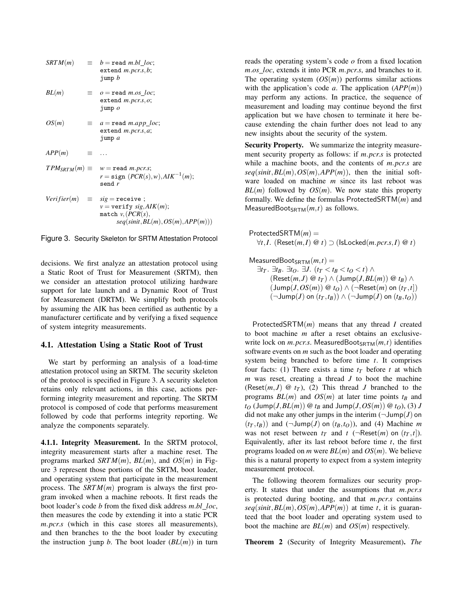$$
SRTM(m) \equiv b = \text{read } m.bl\_loc;
$$
  
\n
$$
\text{extend } m.pcr.s,b;
$$
  
\n
$$
\text{jump } b
$$
  
\n
$$
BL(m) \equiv o = \text{read } m.os\_loc;
$$
  
\n
$$
\text{extend } m.pcr.s,o;
$$
  
\n
$$
\text{jump } o
$$
  
\n
$$
OS(m) \equiv a = \text{read } m.app\_loc;
$$
  
\n
$$
\text{extend } m.pcr.s,a;
$$
  
\n
$$
\text{jump } a
$$
  
\n
$$
APP(m) \equiv ...
$$
  
\n
$$
TPM_{SRTM}(m) \equiv w = \text{read } m.pcr.s;
$$
  
\n
$$
r = \text{sign } (PCR(s), w), AIK^{-1}(m);
$$
  
\n
$$
\text{send } r
$$
  
\n
$$
Verify, (PCR(s), \text{seq}(\text{sinit}, BL(m), OS(m), APP(m)))
$$



decisions. We first analyze an attestation protocol using a Static Root of Trust for Measurement (SRTM), then we consider an attestation protocol utilizing hardware support for late launch and a Dynamic Root of Trust for Measurement (DRTM). We simplify both protocols by assuming the AIK has been certified as authentic by a manufacturer certificate and by verifying a fixed sequence of system integrity measurements.

#### 4.1. Attestation Using a Static Root of Trust

We start by performing an analysis of a load-time attestation protocol using an SRTM. The security skeleton of the protocol is specified in Figure 3. A security skeleton retains only relevant actions, in this case, actions performing integrity measurement and reporting. The SRTM protocol is composed of code that performs measurement followed by code that performs integrity reporting. We analyze the components separately.

4.1.1. Integrity Measurement. In the SRTM protocol, integrity measurement starts after a machine reset. The programs marked  $SRTM(m)$ ,  $BL(m)$ , and  $OS(m)$  in Figure 3 represent those portions of the SRTM, boot loader, and operating system that participate in the measurement process. The *SRTM*(*m*) program is always the first program invoked when a machine reboots. It first reads the boot loader's code *b* from the fixed disk address *m*.*bl loc*, then measures the code by extending it into a static PCR *m*.*pcr*.*s* (which in this case stores all measurements), and then branches to the the boot loader by executing the instruction jump *b*. The boot loader  $(BL(m))$  in turn

reads the operating system's code *o* from a fixed location *m*.*os loc*, extends it into PCR *m*.*pcr*.*s*, and branches to it. The operating system  $(OS(m))$  performs similar actions with the application's code  $a$ . The application  $(APP(m))$ may perform any actions. In practice, the sequence of measurement and loading may continue beyond the first application but we have chosen to terminate it here because extending the chain further does not lead to any new insights about the security of the system.

Security Property. We summarize the integrity measurement security property as follows: if *m*.*pcr*.*s* is protected while a machine boots, and the contents of *m*.*pcr*.*s* are  $seq(sinit, BL(m), OS(m), APP(m)),$  then the initial software loaded on machine *m* since its last reboot was *BL*(*m*) followed by *OS*(*m*). We now state this property formally. We define the formulas ProtectedSRTM(*m*) and MeasuredBoot<sub>SRTM</sub> $(m, t)$  as follows.

ProtectedSRTM(*m*) =  $\forall t, I$ . (Reset $(m, I) \ @t)$  ⊃ (IsLocked $(m. pcr.s, I) \ @t)$ 

 $MeasuredBoost_{SRTM}(m,t) =$ ∃*t*<sub>*T*</sub>. ∃*t*<sub>*B*</sub>. ∃*t*<sub>*O*</sub>. ∃*J*. (*t*<sub>*T*</sub> < *t*<sub>*B*</sub> < *t*<sub>*O*</sub> < *t*) ∧  $(Reset(m, J) @ t_T) ∧ (Jump(J, BL(m)) @ t_B) ∧$  $(\text{Jump}(J, OS(m)) \ @ \ t_O) \wedge (\neg \text{Reset}(m) \text{ on } (t_T, t])$  $(\neg$ Jump(*J*) on  $(t_T, t_B)$ )  $\wedge$   $(\neg$ Jump(*J*) on  $(t_B, t_O)$ )

ProtectedSRTM(*m*) means that any thread *I* created to boot machine *m* after a reset obtains an exclusivewrite lock on *m.pcr.s*. MeasuredBoot<sub>SRTM</sub> $(m,t)$  identifies software events on *m* such as the boot loader and operating system being branched to before time *t*. It comprises four facts: (1) There exists a time  $t_T$  before  $t$  at which *m* was reset, creating a thread *J* to boot the machine (Reset $(m, J) \otimes t_T$ ), (2) This thread *J* branched to the programs  $BL(m)$  and  $OS(m)$  at later time points  $t_B$  and  $t_O$  (Jump(*J*, $BL(m)$ ) @  $t_B$  and Jump(*J*, $OS(m)$ ) @  $t_O$ ), (3) *J* did not make any other jumps in the interim  $(\neg \text{Jump}(J)$  on  $(t_T, t_B)$  and  $(\neg \text{Jump}(J)$  on  $(t_B, t_O)$ ), and (4) Machine *m* was not reset between  $t_T$  and  $t$  ( $\neg$ Reset(*m*) on ( $t_T$ , $t$ ). Equivalently, after its last reboot before time *t*, the first programs loaded on *m* were *BL*(*m*) and *OS*(*m*). We believe this is a natural property to expect from a system integrity measurement protocol.

The following theorem formalizes our security property. It states that under the assumptions that *m*.*pcr*.*s* is protected during booting, and that *m*.*pcr*.*s* contains  $seq(sinit, BL(m), OS(m), APP(m))$  at time *t*, it is guaranteed that the boot loader and operating system used to boot the machine are *BL*(*m*) and *OS*(*m*) respectively.

Theorem 2 (Security of Integrity Measurement). *The*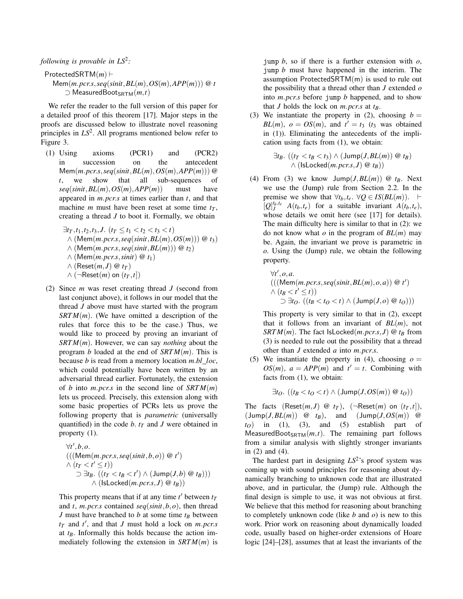*following is provable in LS*<sup>2</sup> *:*

ProtectedSRTM $(m)$   $\vdash$  $Mem(m.pcr.s, seq(sinit, BL(m), OS(m), APP(m)))$  @ *t* ⊃ MeasuredBootSRTM(*m*,*t*)

We refer the reader to the full version of this paper for a detailed proof of this theorem [17]. Major steps in the proofs are discussed below to illustrate novel reasoning principles in *LS*<sup>2</sup> . All programs mentioned below refer to Figure 3.

(1) Using axioms (PCR1) and (PCR2) in succession on the antecedent  $Mem(m.pcr.s, seq(sinit, BL(m), OS(m), APP(m)))$  @ *t*, we show that all sub-sequences of  $seq(sinit, BL(m), OS(m), APP(m))$  must have appeared in *m*.*pcr*.*s* at times earlier than *t*, and that machine *m* must have been reset at some time  $t_T$ , creating a thread *J* to boot it. Formally, we obtain

$$
\exists tr, t_1, t_2, t_3, J. \quad (tr \leq t_1 < t_2 < t_3 < t) \\
\wedge (\text{Mem}(m. pcr.s, seq(sinit, BL(m), OS(m))) \text{ @ } t_3) \\
\wedge (\text{Mem}(m. pcr.s, seq(sinit, BL(m))) \text{ @ } t_2) \\
\wedge (\text{Mem}(m. pcr.s, sinit) \text{ @ } t_1) \\
\wedge (\text{Reset}(m, J) \text{ @ } tr) \\
\wedge (\neg \text{Reset}(m) \text{ on } (tr, t])
$$

(2) Since *m* was reset creating thread *J* (second from last conjunct above), it follows in our model that the thread *J* above must have started with the program *SRTM*(*m*). (We have omitted a description of the rules that force this to be the case.) Thus, we would like to proceed by proving an invariant of *SRTM*(*m*). However, we can say *nothing* about the program *b* loaded at the end of *SRTM*(*m*). This is because *b* is read from a memory location *m*.*bl loc*, which could potentially have been written by an adversarial thread earlier. Fortunately, the extension of *b* into *m*.*pcr*.*s* in the second line of *SRTM*(*m*) lets us proceed. Precisely, this extension along with some basic properties of PCRs lets us prove the following property that is *parametric* (universally quantified) in the code  $b$ .  $t_T$  and  $J$  were obtained in property (1).

$$
\forall t', b, o.
$$
  
\n
$$
(((\text{Mem}(m.pcr.s, seq(sinit, b, o)) @ t')
$$
  
\n
$$
\land (tr < t' \le t))
$$
  
\n
$$
\supset \exists t_B. ((t_T < t_B < t') \land (\text{Jump}(J, b) @ t_B)))
$$
  
\n
$$
\land (\text{lsLocked}(m.pcr.s, J) @ t_B))
$$

This property means that if at any time  $t'$  between  $t_T$ and *t*, *m*.*pcr*.*s* contained *seq*(*sinit*,*b*,*o*), then thread *J* must have branched to *b* at some time *t<sup>B</sup>* between  $t_T$  and  $t'$ , and that *J* must hold a lock on *m.pcr.s* at *tB*. Informally this holds because the action immediately following the extension in *SRTM*(*m*) is

jump *b*, so if there is a further extension with *o*, jump *b* must have happened in the interim. The assumption ProtectedSRTM(m) is used to rule out the possibility that a thread other than *J* extended *o* into *m*.*pcr*.*s* before jump *b* happened, and to show that *J* holds the lock on *m*.*pcr*.*s* at *tB*.

(3) We instantiate the property in (2), choosing  $b =$ *BL*(*m*),  $o = OS(m)$ , and  $t' = t_3$  (*t*<sub>3</sub> was obtained in (1)). Eliminating the antecedents of the implication using facts from (1), we obtain:

$$
\exists t_B. ((t_T < t_B < t_3) \land (Jump(J, BL(m)) \ @ \ t_B) \land (IsLocked(m.pcr.s,J) \ @ \ t_B))
$$

(4) From (3) we know  $\text{Jump}(J, BL(m))$  @  $t_B$ . Next we use the (Jump) rule from Section 2.2. In the premise we show that  $\forall t_b, t_e$ .  $\forall Q \in IS(BL(m))$ .  $\vdash$  $[Q]_J^{t_b,t_e}$   $A(t_b,t_e)$  for a suitable invariant  $A(t_b,t_e)$ , whose details we omit here (see [17] for details). The main difficulty here is similar to that in (2): we do not know what  $o$  in the program of  $BL(m)$  may be. Again, the invariant we prove is parametric in *o*. Using the (Jump) rule, we obtain the following property.

$$
\forall t', o, a.
$$
  
\n
$$
(((\text{Mem}(m.pcr.s, seq(sinit, BL(m), o, a)) @ t')
$$
  
\n
$$
\land (t_B < t' \le t))
$$
  
\n
$$
\supset \exists t_O. ((t_B < t_O < t) \land (\text{Jump}(J, o) @ t_O)))
$$

This property is very similar to that in (2), except that it follows from an invariant of *BL*(*m*), not *SRTM*(*m*). The fact  $|s$ Locked(*m.pcr.s, J*) @  $t_B$  from (3) is needed to rule out the possibility that a thread other than *J* extended *a* into *m*.*pcr*.*s*.

(5) We instantiate the property in (4), choosing  $o =$  $OS(m)$ ,  $a = APP(m)$  and  $t' = t$ . Combining with facts from (1), we obtain:

$$
\exists t_O. ((t_B < t_O < t) \land (\text{Jump}(J, OS(m)) \ @ \ t_O))
$$

The facts (Reset $(m, J) \otimes t_T$ ),  $(\neg$ Reset $(m)$  on  $(t_T, t)$ ),  $(\textsf{Jump}(J, BL(m)) \quad \textcircled{a} \quad t_B), \quad \text{and} \quad (\textsf{Jump}(J,OS(m)) \quad \textcircled{b}$  $t<sub>O</sub>$  in (1), (3), and (5) establish part of MeasuredBoot<sub>SRTM</sub> $(m,t)$ . The remaining part follows from a similar analysis with slightly stronger invariants in (2) and (4).

The hardest part in designing *LS*<sup>2</sup> 's proof system was coming up with sound principles for reasoning about dynamically branching to unknown code that are illustrated above, and in particular, the (Jump) rule. Although the final design is simple to use, it was not obvious at first. We believe that this method for reasoning about branching to completely unknown code (like *b* and *o*) is new to this work. Prior work on reasoning about dynamically loaded code, usually based on higher-order extensions of Hoare logic [24]–[28], assumes that at least the invariants of the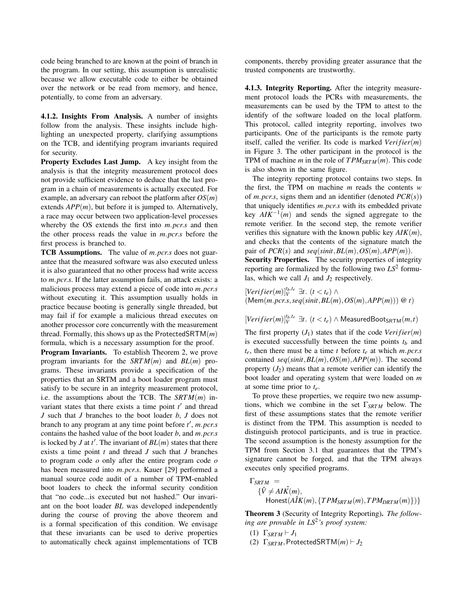code being branched to are known at the point of branch in the program. In our setting, this assumption is unrealistic because we allow executable code to either be obtained over the network or be read from memory, and hence, potentially, to come from an adversary.

4.1.2. Insights From Analysis. A number of insights follow from the analysis. These insights include highlighting an unexpected property, clarifying assumptions on the TCB, and identifying program invariants required for security.

Property Excludes Last Jump. A key insight from the analysis is that the integrity measurement protocol does not provide sufficient evidence to deduce that the last program in a chain of measurements is actually executed. For example, an adversary can reboot the platform after *OS*(*m*) extends *APP*(*m*), but before it is jumped to. Alternatively, a race may occur between two application-level processes whereby the OS extends the first into *m*.*pcr*.*s* and then the other process reads the value in *m*.*pcr*.*s* before the first process is branched to.

TCB Assumptions. The value of *m*.*pcr*.*s* does not guarantee that the measured software was also executed unless it is also guaranteed that no other process had write access to *m*.*pcr*.*s*. If the latter assumption fails, an attack exists: a malicious process may extend a piece of code into *m*.*pcr*.*s* without executing it. This assumption usually holds in practice because booting is generally single threaded, but may fail if for example a malicious thread executes on another processor core concurrently with the measurement thread. Formally, this shows up as the ProtectedSRTM(*m*) formula, which is a necessary assumption for the proof.

Program Invariants. To establish Theorem 2, we prove program invariants for the *SRTM*(*m*) and *BL*(*m*) programs. These invariants provide a specification of the properties that an SRTM and a boot loader program must satisfy to be secure in an integrity measurement protocol, i.e. the assumptions about the TCB. The *SRTM*(*m*) invariant states that there exists a time point  $t'$  and thread *J* such that *J* branches to the boot loader *b*, *J* does not branch to any program at any time point before  $t'$ , *m.pcr.s* contains the hashed value of the boot loader *b*, and *m*.*pcr*.*s* is locked by *J* at  $t'$ . The invariant of  $BL(m)$  states that there exists a time point *t* and thread *J* such that *J* branches to program code *o* only after the entire program code *o* has been measured into *m*.*pcr*.*s*. Kauer [29] performed a manual source code audit of a number of TPM-enabled boot loaders to check the informal security condition that "no code...is executed but not hashed." Our invariant on the boot loader *BL* was developed independently during the course of proving the above theorem and is a formal specification of this condition. We envisage that these invariants can be used to derive properties to automatically check against implementations of TCB

components, thereby providing greater assurance that the trusted components are trustworthy.

4.1.3. Integrity Reporting. After the integrity measurement protocol loads the PCRs with measurements, the measurements can be used by the TPM to attest to the identify of the software loaded on the local platform. This protocol, called integrity reporting, involves two participants. One of the participants is the remote party itself, called the verifier. Its code is marked *Veri fier*(*m*) in Figure 3. The other participant in the protocol is the TPM of machine *m* in the role of *T PMSRTM*(*m*). This code is also shown in the same figure.

The integrity reporting protocol contains two steps. In the first, the TPM on machine *m* reads the contents *w* of *m*.*pcr*.*s*, signs them and an identifier (denoted *PCR*(*s*)) that uniquely identifies *m*.*pcr*.*s* with its embedded private key  $AIK^{-1}(m)$  and sends the signed aggregate to the remote verifier. In the second step, the remote verifier verifies this signature with the known public key *AIK*(*m*), and checks that the contents of the signature match the pair of  $PCR(s)$  and  $seq(sinit, BL(m), OS(m), APP(m)).$ Security Properties. The security properties of integrity

reporting are formalized by the following two *LS*<sup>2</sup> formulas, which we call  $J_1$  and  $J_2$  respectively.

 $[Verifyer( m )]_{V}^{t_b,t_e} \exists t. (t < t_e) \wedge$  $(\text{Mem}(m. pcr.s., seq(sinit, BL(m), OS(m), APP(m))) \otimes t)$ 

 $[Verifyer(fier(m)]^{t_b,t_e}_{V}$   $\exists t.$   $(t < t_e) \land$  MeasuredBoot<sub>SRTM</sub> $(m,t)$ 

The first property  $(J_1)$  states that if the code *Verifier*(*m*) is executed successfully between the time points  $t<sub>b</sub>$  and  $t_e$ , then there must be a time *t* before  $t_e$  at which *m*.*pcr.s* contained *seq*(*sinit*,*BL*(*m*),*OS*(*m*),*APP*(*m*)). The second property  $(J_2)$  means that a remote verifier can identify the boot loader and operating system that were loaded on *m* at some time prior to *te*.

To prove these properties, we require two new assumptions, which we combine in the set Γ*SRTM* below. The first of these assumptions states that the remote verifier is distinct from the TPM. This assumption is needed to distinguish protocol participants, and is true in practice. The second assumption is the honesty assumption for the TPM from Section 3.1 that guarantees that the TPM's signature cannot be forged, and that the TPM always executes only specified programs.

 $\Gamma_{SRTM}$  =  $\{\hat{V} \neq AI\hat{K}(m),\}$  $Honest(AÎK(m), {TPM_{SRTM}(m), TPM_{DRTM}(m)}$ 

Theorem 3 (Security of Integrity Reporting). *The following are provable in LS*<sup>2</sup> *'s proof system:*

- (1)  $\Gamma_{SRTM} \vdash J_1$
- (2)  $\Gamma_{SRTM}$ , ProtectedSRTM $(m) \vdash J_2$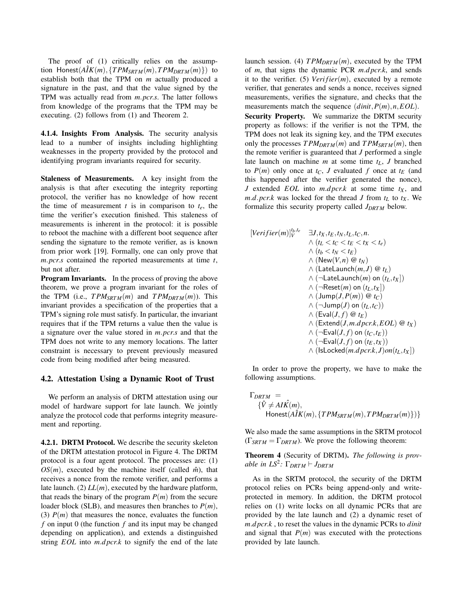The proof of (1) critically relies on the assump $t$ ion Honest( $\widehat{AIK}(m)$ ,  $\{TPM_{SRTM}(m), TPM_{DRTM}(m)\})$  to establish both that the TPM on *m* actually produced a signature in the past, and that the value signed by the TPM was actually read from *m*.*pcr*.*s*. The latter follows from knowledge of the programs that the TPM may be executing. (2) follows from (1) and Theorem 2.

4.1.4. Insights From Analysis. The security analysis lead to a number of insights including highlighting weaknesses in the property provided by the protocol and identifying program invariants required for security.

Staleness of Measurements. A key insight from the analysis is that after executing the integrity reporting protocol, the verifier has no knowledge of how recent the time of measurement  $t$  is in comparison to  $t_e$ , the time the verifier's execution finished. This staleness of measurements is inherent in the protocol: it is possible to reboot the machine with a different boot sequence after sending the signature to the remote verifier, as is known from prior work [19]. Formally, one can only prove that *m*.*pcr*.*s* contained the reported measurements at time *t*, but not after.

Program Invariants. In the process of proving the above theorem, we prove a program invariant for the roles of the TPM (i.e.,  $TPM_{SRTM}(m)$  and  $TPM_{DRTM}(m)$ ). This invariant provides a specification of the properties that a TPM's signing role must satisfy. In particular, the invariant requires that if the TPM returns a value then the value is a signature over the value stored in *m*.*pcr*.*s* and that the TPM does not write to any memory locations. The latter constraint is necessary to prevent previously measured code from being modified after being measured.

#### 4.2. Attestation Using a Dynamic Root of Trust

We perform an analysis of DRTM attestation using our model of hardware support for late launch. We jointly analyze the protocol code that performs integrity measurement and reporting.

4.2.1. DRTM Protocol. We describe the security skeleton of the DRTM attestation protocol in Figure 4. The DRTM protocol is a four agent protocol. The processes are: (1)  $OS(m)$ , executed by the machine itself (called  $\hat{m}$ ), that receives a nonce from the remote verifier, and performs a late launch. (2) *LL*(*m*), executed by the hardware platform, that reads the binary of the program  $P(m)$  from the secure loader block (SLB), and measures then branches to *P*(*m*), (3)  $P(m)$  that measures the nonce, evaluates the function *f* on input 0 (the function *f* and its input may be changed depending on application), and extends a distinguished string *EOL* into *m*.*d pcr*.*k* to signify the end of the late

launch session. (4)  $TPM_{DRTM}(m)$ , executed by the TPM of *m*, that signs the dynamic PCR *m*.*d pcr*.*k*, and sends it to the verifier. (5) *Verifier* $(m)$ , executed by a remote verifier, that generates and sends a nonce, receives signed measurements, verifies the signature, and checks that the measurements match the sequence (*dinit*,*P*(*m*),*n*,*EOL*).

Security Property. We summarize the DRTM security property as follows: if the verifier is not the TPM, the TPM does not leak its signing key, and the TPM executes only the processes  $TPM_{DRTM}(m)$  and  $TPM_{SRTM}(m)$ , then the remote verifier is guaranteed that *J* performed a single late launch on machine *m* at some time *tL*, *J* branched to  $P(m)$  only once at  $t_C$ , *J* evaluated *f* once at  $t_E$  (and this happened after the verifier generated the nonce), *J* extended *EOL* into *m*.*d pcr*.*k* at some time *t<sup>X</sup>* , and *m.d.pcr.k* was locked for the thread *J* from  $t_L$  to  $t_X$ . We formalize this security property called *JDRTM* below.

$$
[Verifier(m)]_{V}^{l_{b},l_{e}} \quad \exists J, t_{X}, t_{E}, t_{N}, t_{L}, t_{C}, n.
$$
\n
$$
\land (t_{L} < t_{C} < t_{E} < t_{X} < t_{e})
$$
\n
$$
\land (t_{b} < t_{N} < t_{E})
$$
\n
$$
\land (\text{New}(V, n) \text{ @ } t_{N})
$$
\n
$$
\land (\text{LateLaunch}(m, J) \text{ @ } t_{L})
$$
\n
$$
\land (\neg \text{LateLaunch}(m) \text{ on } (t_{L}, t_{X}])
$$
\n
$$
\land (\neg \text{Reset}(m) \text{ on } (t_{L}, t_{X}])
$$
\n
$$
\land (Jump(J, P(m)) \text{ @ } t_{C})
$$
\n
$$
\land (\neg \text{Jump}(J) \text{ on } (t_{L}, t_{C}))
$$
\n
$$
\land (\text{Eval}(J, f) \text{ @ } t_{E})
$$
\n
$$
\land (\text{Extend}(J, m \text{.} d_{P} c r \text{.} k, EOL) \text{ @ } t_{X})
$$
\n
$$
\land (\neg \text{Eval}(J, f) \text{ on } (t_{C}, t_{E}))
$$
\n
$$
\land (\neg \text{Eval}(J, f) \text{ on } (t_{E}, t_{X}))
$$
\n
$$
\land (\text{IsLocked}(m \text{.} d_{P} c r \text{.} k, J) \text{ on } (t_{L}, t_{X}])
$$

In order to prove the property, we have to make the following assumptions.

$$
\Gamma_{DRTM} = \{\hat{V} \neq AI\hat{K}(m),
$$
  
Homest( $\hat{AIK}(m), \{TPM_{SRTM}(m), TPM_{DRTM}(m)\})\}$ 

We also made the same assumptions in the SRTM protocol  $(\Gamma_{SRTM} = \Gamma_{DRTM})$ . We prove the following theorem:

Theorem 4 (Security of DRTM). *The following is prov* $able$  in  $LS^2$ :  $\Gamma_{DRTM} \vdash J_{DRTM}$ 

As in the SRTM protocol, the security of the DRTM protocol relies on PCRs being append-only and writeprotected in memory. In addition, the DRTM protocol relies on (1) write locks on all dynamic PCRs that are provided by the late launch and (2) a dynamic reset of *m*.*d pcr*.*k* , to reset the values in the dynamic PCRs to *dinit* and signal that  $P(m)$  was executed with the protections provided by late launch.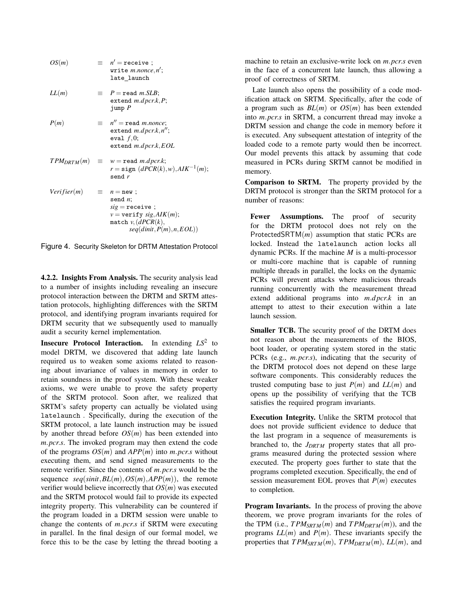$$
OS(m) \equiv n' = \text{receive};
$$
\n
$$
\text{write } m.nonce, n';
$$
\n
$$
\text{late\_Iaunch}
$$
\n
$$
LL(m) \equiv P = \text{read } m.SLB;
$$
\n
$$
\text{extend } m.dpcrk, P;
$$
\n
$$
\text{jump } P
$$
\n
$$
P(m) \equiv n'' = \text{read } m.nonce;
$$
\n
$$
\text{extend } m.dpcrk, n'';
$$
\n
$$
\text{eval } f, 0;
$$
\n
$$
\text{extend } m.dpcrk, EOL
$$
\n
$$
TPM_{DRTM}(m) \equiv w = \text{read } m.dpcrk;
$$
\n
$$
r = \text{sign } (dPCR(k), w), AIK^{-1}(m);
$$
\n
$$
\text{send } r
$$
\n
$$
\text{Verify } \text{sig} = \text{receive } ;
$$
\n
$$
v = \text{verify } sig, AIK(m);
$$
\n
$$
\text{match } v, (dPCR(k), \text{seq}(dinit, P(m), n, EOL))
$$

Figure 4. Security Skeleton for DRTM Attestation Protocol

4.2.2. Insights From Analysis. The security analysis lead to a number of insights including revealing an insecure protocol interaction between the DRTM and SRTM attestation protocols, highlighting differences with the SRTM protocol, and identifying program invariants required for DRTM security that we subsequently used to manually audit a security kernel implementation.

**Insecure Protocol Interaction.** In extending  $LS^2$  to model DRTM, we discovered that adding late launch required us to weaken some axioms related to reasoning about invariance of values in memory in order to retain soundness in the proof system. With these weaker axioms, we were unable to prove the safety property of the SRTM protocol. Soon after, we realized that SRTM's safety property can actually be violated using latelaunch . Specifically, during the execution of the SRTM protocol, a late launch instruction may be issued by another thread before *OS*(*m*) has been extended into *m*.*pcr*.*s*. The invoked program may then extend the code of the programs  $OS(m)$  and  $APP(m)$  into *m.pcr.s* without executing them, and send signed measurements to the remote verifier. Since the contents of *m*.*pcr*.*s* would be the sequence  $seq(sinit, BL(m), OS(m), APP(m))$ , the remote verifier would believe incorrectly that *OS*(*m*) was executed and the SRTM protocol would fail to provide its expected integrity property. This vulnerability can be countered if the program loaded in a DRTM session were unable to change the contents of *m*.*pcr*.*s* if SRTM were executing in parallel. In the final design of our formal model, we force this to be the case by letting the thread booting a

machine to retain an exclusive-write lock on *m*.*pcr*.*s* even in the face of a concurrent late launch, thus allowing a proof of correctness of SRTM.

Late launch also opens the possibility of a code modification attack on SRTM. Specifically, after the code of a program such as *BL*(*m*) or *OS*(*m*) has been extended into *m*.*pcr*.*s* in SRTM, a concurrent thread may invoke a DRTM session and change the code in memory before it is executed. Any subsequent attestation of integrity of the loaded code to a remote party would then be incorrect. Our model prevents this attack by assuming that code measured in PCRs during SRTM cannot be modified in memory.

Comparison to SRTM. The property provided by the DRTM protocol is stronger than the SRTM protocol for a number of reasons:

Fewer Assumptions. The proof of security for the DRTM protocol does not rely on the ProtectedSRTM(*m*) assumption that static PCRs are locked. Instead the latelaunch action locks all dynamic PCRs. If the machine *M* is a multi-processor or multi-core machine that is capable of running multiple threads in parallel, the locks on the dynamic PCRs will prevent attacks where malicious threads running concurrently with the measurement thread extend additional programs into *m*.*d pcr*.*k* in an attempt to attest to their execution within a late launch session.

Smaller TCB. The security proof of the DRTM does not reason about the measurements of the BIOS, boot loader, or operating system stored in the static PCRs (e.g., *m*.*pcr*.*s*), indicating that the security of the DRTM protocol does not depend on these large software components. This considerably reduces the trusted computing base to just  $P(m)$  and  $LL(m)$  and opens up the possibility of verifying that the TCB satisfies the required program invariants.

Execution Integrity. Unlike the SRTM protocol that does not provide sufficient evidence to deduce that the last program in a sequence of measurements is branched to, the *JDRTM* property states that all programs measured during the protected session where executed. The property goes further to state that the programs completed execution. Specifically, the end of session measurement EOL proves that  $P(m)$  executes to completion.

Program Invariants. In the process of proving the above theorem, we prove program invariants for the roles of the TPM (i.e.,  $TPM_{SRTM}(m)$  and  $TPM_{DRTM}(m)$ ), and the programs  $LL(m)$  and  $P(m)$ . These invariants specify the properties that  $TPM_{SRTM}(m)$ ,  $TPM_{DRTM}(m)$ ,  $LL(m)$ , and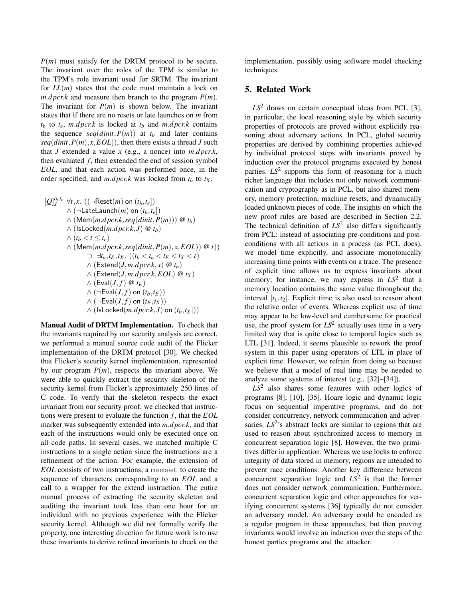$P(m)$  must satisfy for the DRTM protocol to be secure. The invariant over the roles of the TPM is similar to the TPM's role invariant used for SRTM. The invariant for *LL*(*m*) states that the code must maintain a lock on *m.dpcr.k* and measure then branch to the program  $P(m)$ . The invariant for  $P(m)$  is shown below. The invariant states that if there are no resets or late launches on *m* from  $t_b$  to  $t_e$ , *m.dpcr.k* is locked at  $t_b$  and  $m.dpcr.k$  contains the sequence  $seq(dinit, P(m))$  at  $t_b$  and later contains  $seq(dinit, P(m), x, EOL)$ , then there exists a thread *J* such that *J* extended a value *x* (e.g., a nonce) into *m*.*d pcr*.*k*, then evaluated  $f$ , then extended the end of session symbol *EOL*, and that each action was performed once, in the order specified, and  $m.dpcx$  was locked from  $t_b$  to  $t_x$ .

$$
[Q]_{J}^{t_b,t_e} \forall t, x. ((\neg \text{Reset}(m) \text{ on } (t_b, t_e])
$$
\n
$$
\wedge (\neg \text{Latelaunch}(m) \text{ on } (t_b, t_e])
$$
\n
$$
\wedge (\text{Mem}(m.dpck, seq(dinit, P(m))) \otimes t_b)
$$
\n
$$
\wedge (\text{lsLocked}(m.dpck, J) \otimes t_b)
$$
\n
$$
\wedge (t_b < t \leq t_e)
$$
\n
$$
\wedge (\text{Mem}(m.dpck, seq(dinit, P(m), x, EOL)) \otimes t))
$$
\n
$$
\supseteq t_{n}, t_E, t_X. ((t_b < t_n < t_E < t_X < t)
$$
\n
$$
\wedge (\text{Extend}(J, m.dpck, x) \otimes t_n)
$$
\n
$$
\wedge (\text{Extend}(J, m.dpck, EOL) \otimes t_X)
$$
\n
$$
\wedge (\text{Eval}(J, f) \otimes t_E)
$$
\n
$$
\wedge (\neg \text{Eval}(J, f) \text{ on } (t_b, t_E))
$$
\n
$$
\wedge (\neg \text{Eval}(J, f) \text{ on } (t_E, t_X))
$$
\n
$$
\wedge (\text{lsLocked}(m.dpck, J) \text{ on } (t_b, t_X]))
$$

Manual Audit of DRTM Implementation. To check that the invariants required by our security analysis are correct, we performed a manual source code audit of the Flicker implementation of the DRTM protocol [30]. We checked that Flicker's security kernel implementation, represented by our program  $P(m)$ , respects the invariant above. We were able to quickly extract the security skeleton of the security kernel from Flicker's approximately 250 lines of C code. To verify that the skeleton respects the exact invariant from our security proof, we checked that instructions were present to evaluate the function *f* , that the *EOL* marker was subsequently extended into *m*.*d pcr*.*k*, and that each of the instructions would only be executed once on all code paths. In several cases, we matched multiple C instructions to a single action since the instructions are a refinement of the action. For example, the extension of *EOL* consists of two instructions, a memset to create the sequence of characters corresponding to an *EOL* and a call to a wrapper for the extend instruction. The entire manual process of extracting the security skeleton and auditing the invariant took less than one hour for an individual with no previous experience with the Flicker security kernel. Although we did not formally verify the property, one interesting direction for future work is to use these invariants to derive refined invariants to check on the

implementation, possibly using software model checking techniques.

## 5. Related Work

 $LS^2$  draws on certain conceptual ideas from PCL [3], in particular, the local reasoning style by which security properties of protocols are proved without explicitly reasoning about adversary actions. In PCL, global security properties are derived by combining properties achieved by individual protocol steps with invariants proved by induction over the protocol programs executed by honest parties.  $LS^2$  supports this form of reasoning for a much richer language that includes not only network communication and cryptography as in PCL, but also shared memory, memory protection, machine resets, and dynamically loaded unknown pieces of code. The insights on which the new proof rules are based are described in Section 2.2. The technical definition of  $LS^2$  also differs significantly from PCL: instead of associating pre-conditions and postconditions with all actions in a process (as PCL does), we model time explicitly, and associate monotonically increasing time points with events on a trace. The presence of explicit time allows us to express invariants about memory; for instance, we may express in *LS*<sup>2</sup> that a memory location contains the same value throughout the interval  $[t_1,t_2]$ . Explicit time is also used to reason about the relative order of events. Whereas explicit use of time may appear to be low-level and cumbersome for practical use, the proof system for  $LS^2$  actually uses time in a very limited way that is quite close to temporal logics such as LTL [31]. Indeed, it seems plausible to rework the proof system in this paper using operators of LTL in place of explicit time. However, we refrain from doing so because we believe that a model of real time may be needed to analyze some systems of interest (e.g., [32]–[34]).

*LS*<sup>2</sup> also shares some features with other logics of programs [8], [10], [35]. Hoare logic and dynamic logic focus on sequential imperative programs, and do not consider concurrency, network communication and adversaries.  $LS^2$ 's abstract locks are similar to regions that are used to reason about synchronized access to memory in concurrent separation logic [8]. However, the two primitives differ in application. Whereas we use locks to enforce integrity of data stored in memory, regions are intended to prevent race conditions. Another key difference between concurrent separation logic and  $LS^2$  is that the former does not consider network communication. Furthermore, concurrent separation logic and other approaches for verifying concurrent systems [36] typically do not consider an adversary model. An adversary could be encoded as a regular program in these approaches, but then proving invariants would involve an induction over the steps of the honest parties programs and the attacker.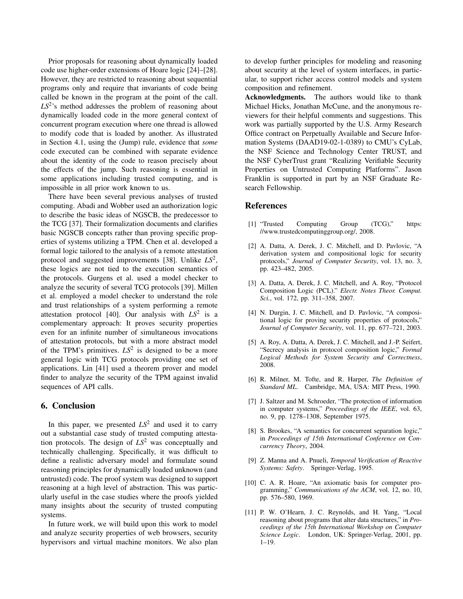Prior proposals for reasoning about dynamically loaded code use higher-order extensions of Hoare logic [24]–[28]. However, they are restricted to reasoning about sequential programs only and require that invariants of code being called be known in the program at the point of the call. LS<sup>2</sup>'s method addresses the problem of reasoning about dynamically loaded code in the more general context of concurrent program execution where one thread is allowed to modify code that is loaded by another. As illustrated in Section 4.1, using the (Jump) rule, evidence that *some* code executed can be combined with separate evidence about the identity of the code to reason precisely about the effects of the jump. Such reasoning is essential in some applications including trusted computing, and is impossible in all prior work known to us.

There have been several previous analyses of trusted computing. Abadi and Wobber used an authorization logic to describe the basic ideas of NGSCB, the predecessor to the TCG [37]. Their formalization documents and clarifies basic NGSCB concepts rather than proving specific properties of systems utilizing a TPM. Chen et al. developed a formal logic tailored to the analysis of a remote attestation protocol and suggested improvements [38]. Unlike *LS*<sup>2</sup> , these logics are not tied to the execution semantics of the protocols. Gurgens et al. used a model checker to analyze the security of several TCG protocols [39]. Millen et al. employed a model checker to understand the role and trust relationships of a system performing a remote attestation protocol [40]. Our analysis with  $LS^2$  is a complementary approach: It proves security properties even for an infinite number of simultaneous invocations of attestation protocols, but with a more abstract model of the TPM's primitives.  $LS^2$  is designed to be a more general logic with TCG protocols providing one set of applications. Lin [41] used a theorem prover and model finder to analyze the security of the TPM against invalid sequences of API calls.

#### 6. Conclusion

In this paper, we presented  $LS^2$  and used it to carry out a substantial case study of trusted computing attestation protocols. The design of *LS*<sup>2</sup> was conceptually and technically challenging. Specifically, it was difficult to define a realistic adversary model and formulate sound reasoning principles for dynamically loaded unknown (and untrusted) code. The proof system was designed to support reasoning at a high level of abstraction. This was particularly useful in the case studies where the proofs yielded many insights about the security of trusted computing systems.

In future work, we will build upon this work to model and analyze security properties of web browsers, security hypervisors and virtual machine monitors. We also plan to develop further principles for modeling and reasoning about security at the level of system interfaces, in particular, to support richer access control models and system composition and refinement.

Acknowledgments. The authors would like to thank Michael Hicks, Jonathan McCune, and the anonymous reviewers for their helpful comments and suggestions. This work was partially supported by the U.S. Army Research Office contract on Perpetually Available and Secure Information Systems (DAAD19-02-1-0389) to CMU's CyLab, the NSF Science and Technology Center TRUST, and the NSF CyberTrust grant "Realizing Verifiable Security Properties on Untrusted Computing Platforms". Jason Franklin is supported in part by an NSF Graduate Research Fellowship.

### References

- [1] "Trusted Computing Group (TCG)," https: //www.trustedcomputinggroup.org/, 2008.
- [2] A. Datta, A. Derek, J. C. Mitchell, and D. Pavlovic, "A derivation system and compositional logic for security protocols," *Journal of Computer Security*, vol. 13, no. 3, pp. 423–482, 2005.
- [3] A. Datta, A. Derek, J. C. Mitchell, and A. Roy, "Protocol Composition Logic (PCL)." *Electr. Notes Theor. Comput. Sci.*, vol. 172, pp. 311–358, 2007.
- [4] N. Durgin, J. C. Mitchell, and D. Pavlovic, "A compositional logic for proving security properties of protocols," *Journal of Computer Security*, vol. 11, pp. 677–721, 2003.
- [5] A. Roy, A. Datta, A. Derek, J. C. Mitchell, and J.-P. Seifert, "Secrecy analysis in protocol composition logic," *Formal Logical Methods for System Security and Correctness*, 2008.
- [6] R. Milner, M. Tofte, and R. Harper, *The Definition of Standard ML*. Cambridge, MA, USA: MIT Press, 1990.
- [7] J. Saltzer and M. Schroeder, "The protection of information in computer systems," *Proceedings of the IEEE*, vol. 63, no. 9, pp. 1278–1308, September 1975.
- [8] S. Brookes, "A semantics for concurrent separation logic," in *Proceedings of 15th International Conference on Concurrency Theory*, 2004.
- [9] Z. Manna and A. Pnueli, *Temporal Verification of Reactive Systems: Safety*. Springer-Verlag, 1995.
- [10] C. A. R. Hoare, "An axiomatic basis for computer programming," *Communications of the ACM*, vol. 12, no. 10, pp. 576–580, 1969.
- [11] P. W. O'Hearn, J. C. Reynolds, and H. Yang, "Local reasoning about programs that alter data structures," in *Proceedings of the 15th International Workshop on Computer Science Logic*. London, UK: Springer-Verlag, 2001, pp. 1–19.